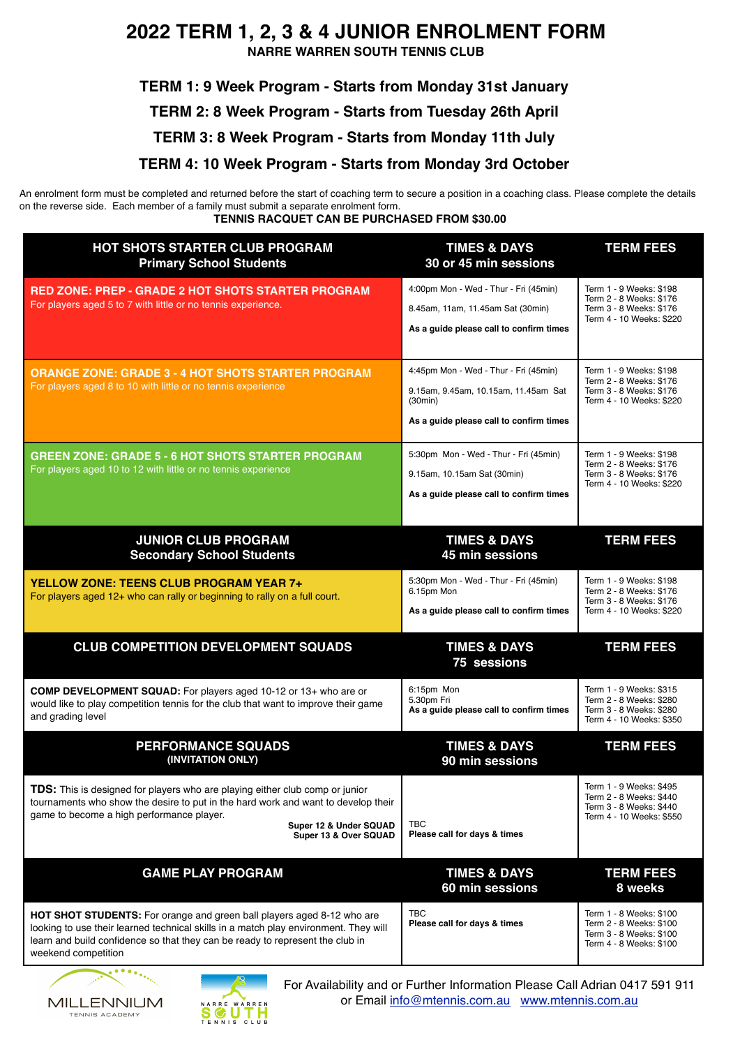## **2022 TERM 1, 2, 3 & 4 JUNIOR ENROLMENT FORM**

**NARRE WARREN SOUTH TENNIS CLUB**

**TERM 1: 9 Week Program - Starts from Monday 31st January TERM 2: 8 Week Program - Starts from Tuesday 26th April TERM 3: 8 Week Program - Starts from Monday 11th July TERM 4: 10 Week Program - Starts from Monday 3rd October** 

An enrolment form must be completed and returned before the start of coaching term to secure a position in a coaching class. Please complete the details on the reverse side. Each member of a family must submit a separate enrolment form. **TENNIS RACQUET CAN BE PURCHASED FROM \$30.00** 

| <b>HOT SHOTS STARTER CLUB PROGRAM</b><br><b>Primary School Students</b>                                                                                                                                                                                                |                                                 | <b>TIMES &amp; DAYS</b><br>30 or 45 min sessions                                                                                    | <b>TERM FEES</b>                                                                                          |
|------------------------------------------------------------------------------------------------------------------------------------------------------------------------------------------------------------------------------------------------------------------------|-------------------------------------------------|-------------------------------------------------------------------------------------------------------------------------------------|-----------------------------------------------------------------------------------------------------------|
| <b>RED ZONE: PREP - GRADE 2 HOT SHOTS STARTER PROGRAM</b><br>For players aged 5 to 7 with little or no tennis experience.                                                                                                                                              |                                                 | 4:00pm Mon - Wed - Thur - Fri (45min)<br>8.45am, 11am, 11.45am Sat (30min)<br>As a guide please call to confirm times               | Term 1 - 9 Weeks: \$198<br>Term 2 - 8 Weeks: \$176<br>Term 3 - 8 Weeks: \$176<br>Term 4 - 10 Weeks: \$220 |
| <b>ORANGE ZONE: GRADE 3 - 4 HOT SHOTS STARTER PROGRAM</b><br>For players aged 8 to 10 with little or no tennis experience                                                                                                                                              |                                                 | 4:45pm Mon - Wed - Thur - Fri (45min)<br>9.15am, 9.45am, 10.15am, 11.45am Sat<br>(30min)<br>As a guide please call to confirm times | Term 1 - 9 Weeks: \$198<br>Term 2 - 8 Weeks: \$176<br>Term 3 - 8 Weeks: \$176<br>Term 4 - 10 Weeks: \$220 |
| <b>GREEN ZONE: GRADE 5 - 6 HOT SHOTS STARTER PROGRAM</b><br>For players aged 10 to 12 with little or no tennis experience                                                                                                                                              |                                                 | 5:30pm Mon - Wed - Thur - Fri (45min)<br>9.15am, 10.15am Sat (30min)<br>As a guide please call to confirm times                     | Term 1 - 9 Weeks: \$198<br>Term 2 - 8 Weeks: \$176<br>Term 3 - 8 Weeks: \$176<br>Term 4 - 10 Weeks: \$220 |
| <b>JUNIOR CLUB PROGRAM</b><br><b>Secondary School Students</b>                                                                                                                                                                                                         |                                                 | <b>TIMES &amp; DAYS</b><br>45 min sessions                                                                                          | <b>TERM FEES</b>                                                                                          |
| <b>YELLOW ZONE: TEENS CLUB PROGRAM YEAR 7+</b><br>For players aged 12+ who can rally or beginning to rally on a full court.                                                                                                                                            |                                                 | 5:30pm Mon - Wed - Thur - Fri (45min)<br>6.15pm Mon<br>As a guide please call to confirm times                                      | Term 1 - 9 Weeks: \$198<br>Term 2 - 8 Weeks: \$176<br>Term 3 - 8 Weeks: \$176<br>Term 4 - 10 Weeks: \$220 |
| <b>CLUB COMPETITION DEVELOPMENT SQUADS</b>                                                                                                                                                                                                                             |                                                 | <b>TIMES &amp; DAYS</b><br>75 sessions                                                                                              | <b>TERM FEES</b>                                                                                          |
| COMP DEVELOPMENT SQUAD: For players aged 10-12 or 13+ who are or<br>would like to play competition tennis for the club that want to improve their game<br>and grading level                                                                                            |                                                 | 6:15pm Mon<br>5.30pm Fri<br>As a guide please call to confirm times                                                                 | Term 1 - 9 Weeks: \$315<br>Term 2 - 8 Weeks: \$280<br>Term 3 - 8 Weeks: \$280<br>Term 4 - 10 Weeks: \$350 |
| <b>PERFORMANCE SQUADS</b><br>(INVITATION ONLY)                                                                                                                                                                                                                         |                                                 | <b>TIMES &amp; DAYS</b><br>90 min sessions                                                                                          | <b>TERM FEES</b>                                                                                          |
| TDS: This is designed for players who are playing either club comp or junior<br>tournaments who show the desire to put in the hard work and want to develop their<br>game to become a high performance player.                                                         | Super 12 & Under SQUAD<br>Super 13 & Over SQUAD | <b>TBC</b><br>Please call for days & times                                                                                          | Term 1 - 9 Weeks: \$495<br>Term 2 - 8 Weeks: \$440<br>Term 3 - 8 Weeks: \$440<br>Term 4 - 10 Weeks: \$550 |
| <b>GAME PLAY PROGRAM</b>                                                                                                                                                                                                                                               |                                                 | <b>TIMES &amp; DAYS</b><br>60 min sessions                                                                                          | <b>TERM FEES</b><br>8 weeks                                                                               |
| HOT SHOT STUDENTS: For orange and green ball players aged 8-12 who are<br>looking to use their learned technical skills in a match play environment. They will<br>learn and build confidence so that they can be ready to represent the club in<br>weekend competition |                                                 | <b>TBC</b><br>Please call for days & times                                                                                          | Term 1 - 8 Weeks: \$100<br>Term 2 - 8 Weeks: \$100<br>Term 3 - 8 Weeks: \$100<br>Term 4 - 8 Weeks: \$100  |





For Availability and or Further Information Please Call Adrian 0417 591 911 or Email [info@mtennis.com.au](mailto:info@mtennis.com.au) [www.mtennis.com.au](http://www.mtennis.com.au)